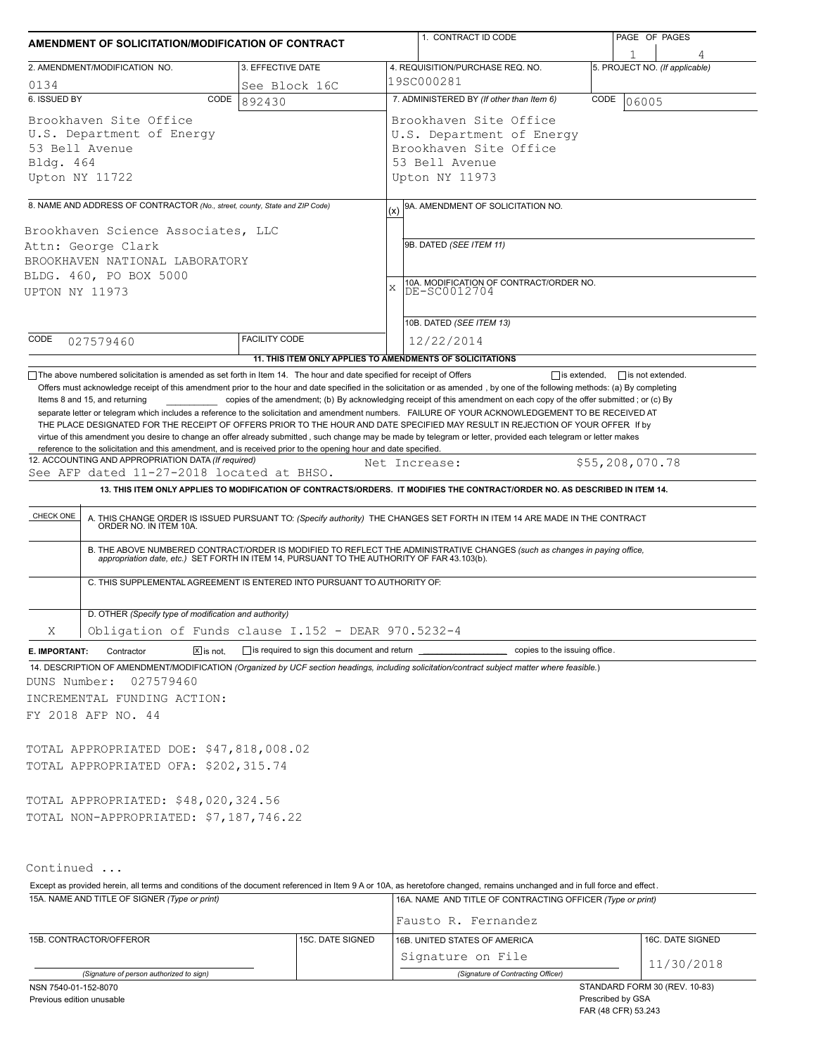| AMENDMENT OF SOLICITATION/MODIFICATION OF CONTRACT                                                                                                                                                                                                                                                                                                                                                                                                                                                                        |                                                           |  |                                                            | 1. CONTRACT ID CODE                                                                                                                                                                                                   |                 | PAGE OF PAGES                  |  |  |  |
|---------------------------------------------------------------------------------------------------------------------------------------------------------------------------------------------------------------------------------------------------------------------------------------------------------------------------------------------------------------------------------------------------------------------------------------------------------------------------------------------------------------------------|-----------------------------------------------------------|--|------------------------------------------------------------|-----------------------------------------------------------------------------------------------------------------------------------------------------------------------------------------------------------------------|-----------------|--------------------------------|--|--|--|
|                                                                                                                                                                                                                                                                                                                                                                                                                                                                                                                           |                                                           |  |                                                            |                                                                                                                                                                                                                       |                 |                                |  |  |  |
| 2. AMENDMENT/MODIFICATION NO.                                                                                                                                                                                                                                                                                                                                                                                                                                                                                             | 3. EFFECTIVE DATE                                         |  |                                                            | 4. REQUISITION/PURCHASE REQ. NO.                                                                                                                                                                                      |                 | 5. PROJECT NO. (If applicable) |  |  |  |
| 0134                                                                                                                                                                                                                                                                                                                                                                                                                                                                                                                      | See Block 16C                                             |  | 19SC000281                                                 |                                                                                                                                                                                                                       |                 |                                |  |  |  |
| 6. ISSUED BY<br>CODE                                                                                                                                                                                                                                                                                                                                                                                                                                                                                                      | 892430                                                    |  | 7. ADMINISTERED BY (If other than Item 6)<br>CODE<br>06005 |                                                                                                                                                                                                                       |                 |                                |  |  |  |
| Brookhaven Site Office                                                                                                                                                                                                                                                                                                                                                                                                                                                                                                    |                                                           |  |                                                            | Brookhaven Site Office                                                                                                                                                                                                |                 |                                |  |  |  |
| U.S. Department of Energy                                                                                                                                                                                                                                                                                                                                                                                                                                                                                                 |                                                           |  | U.S. Department of Energy                                  |                                                                                                                                                                                                                       |                 |                                |  |  |  |
| 53 Bell Avenue                                                                                                                                                                                                                                                                                                                                                                                                                                                                                                            |                                                           |  | Brookhaven Site Office                                     |                                                                                                                                                                                                                       |                 |                                |  |  |  |
| Bldg. 464                                                                                                                                                                                                                                                                                                                                                                                                                                                                                                                 |                                                           |  | 53 Bell Avenue                                             |                                                                                                                                                                                                                       |                 |                                |  |  |  |
| Upton NY 11722                                                                                                                                                                                                                                                                                                                                                                                                                                                                                                            |                                                           |  |                                                            | Upton NY 11973                                                                                                                                                                                                        |                 |                                |  |  |  |
| 8. NAME AND ADDRESS OF CONTRACTOR (No., street, county, State and ZIP Code)                                                                                                                                                                                                                                                                                                                                                                                                                                               |                                                           |  | (x)                                                        | 9A. AMENDMENT OF SOLICITATION NO.                                                                                                                                                                                     |                 |                                |  |  |  |
| Brookhaven Science Associates, LLC                                                                                                                                                                                                                                                                                                                                                                                                                                                                                        |                                                           |  |                                                            |                                                                                                                                                                                                                       |                 |                                |  |  |  |
| Attn: George Clark                                                                                                                                                                                                                                                                                                                                                                                                                                                                                                        |                                                           |  | 9B. DATED (SEE ITEM 11)                                    |                                                                                                                                                                                                                       |                 |                                |  |  |  |
| BROOKHAVEN NATIONAL LABORATORY                                                                                                                                                                                                                                                                                                                                                                                                                                                                                            |                                                           |  |                                                            |                                                                                                                                                                                                                       |                 |                                |  |  |  |
| BLDG. 460, PO BOX 5000                                                                                                                                                                                                                                                                                                                                                                                                                                                                                                    |                                                           |  |                                                            | 10A. MODIFICATION OF CONTRACT/ORDER NO.                                                                                                                                                                               |                 |                                |  |  |  |
| <b>UPTON NY 11973</b>                                                                                                                                                                                                                                                                                                                                                                                                                                                                                                     |                                                           |  | X                                                          | DE-SC0012704                                                                                                                                                                                                          |                 |                                |  |  |  |
|                                                                                                                                                                                                                                                                                                                                                                                                                                                                                                                           |                                                           |  |                                                            | 10B. DATED (SEE ITEM 13)                                                                                                                                                                                              |                 |                                |  |  |  |
| CODE<br>027579460                                                                                                                                                                                                                                                                                                                                                                                                                                                                                                         | <b>FACILITY CODE</b>                                      |  |                                                            | 12/22/2014                                                                                                                                                                                                            |                 |                                |  |  |  |
|                                                                                                                                                                                                                                                                                                                                                                                                                                                                                                                           | 11. THIS ITEM ONLY APPLIES TO AMENDMENTS OF SOLICITATIONS |  |                                                            |                                                                                                                                                                                                                       |                 |                                |  |  |  |
| THE PLACE DESIGNATED FOR THE RECEIPT OF OFFERS PRIOR TO THE HOUR AND DATE SPECIFIED MAY RESULT IN REJECTION OF YOUR OFFER If by<br>virtue of this amendment you desire to change an offer already submitted, such change may be made by telegram or letter, provided each telegram or letter makes<br>reference to the solicitation and this amendment, and is received prior to the opening hour and date specified.<br>12. ACCOUNTING AND APPROPRIATION DATA (If required)<br>See AFP dated 11-27-2018 located at BHSO. |                                                           |  |                                                            | Net Increase:<br>13. THIS ITEM ONLY APPLIES TO MODIFICATION OF CONTRACTS/ORDERS. IT MODIFIES THE CONTRACT/ORDER NO. AS DESCRIBED IN ITEM 14.                                                                          | \$55,208,070.78 |                                |  |  |  |
|                                                                                                                                                                                                                                                                                                                                                                                                                                                                                                                           |                                                           |  |                                                            |                                                                                                                                                                                                                       |                 |                                |  |  |  |
| CHECK ONE                                                                                                                                                                                                                                                                                                                                                                                                                                                                                                                 |                                                           |  |                                                            | A. THIS CHANGE ORDER IS ISSUED PURSUANT TO: (Specify authority) THE CHANGES SET FORTH IN ITEM 14 ARE MADE IN THE CONTRACT ORDER NO. IN ITEM 10A.                                                                      |                 |                                |  |  |  |
|                                                                                                                                                                                                                                                                                                                                                                                                                                                                                                                           |                                                           |  |                                                            |                                                                                                                                                                                                                       |                 |                                |  |  |  |
|                                                                                                                                                                                                                                                                                                                                                                                                                                                                                                                           |                                                           |  |                                                            | B. THE ABOVE NUMBERED CONTRACT/ORDER IS MODIFIED TO REFLECT THE ADMINISTRATIVE CHANGES (such as changes in paying office, appropriation date, etc.) SET FORTH IN ITEM 14, PURSUANT TO THE AUTHORITY OF FAR 43.103(b). |                 |                                |  |  |  |
| C. THIS SUPPLEMENTAL AGREEMENT IS ENTERED INTO PURSUANT TO AUTHORITY OF:                                                                                                                                                                                                                                                                                                                                                                                                                                                  |                                                           |  |                                                            |                                                                                                                                                                                                                       |                 |                                |  |  |  |
|                                                                                                                                                                                                                                                                                                                                                                                                                                                                                                                           |                                                           |  |                                                            |                                                                                                                                                                                                                       |                 |                                |  |  |  |
| D. OTHER (Specify type of modification and authority)                                                                                                                                                                                                                                                                                                                                                                                                                                                                     |                                                           |  |                                                            |                                                                                                                                                                                                                       |                 |                                |  |  |  |
| Obligation of Funds clause I.152 - DEAR 970.5232-4<br>Χ                                                                                                                                                                                                                                                                                                                                                                                                                                                                   |                                                           |  |                                                            |                                                                                                                                                                                                                       |                 |                                |  |  |  |
| $\boxed{\mathsf{X}}$ is not.<br>Contractor<br>E. IMPORTANT:                                                                                                                                                                                                                                                                                                                                                                                                                                                               |                                                           |  |                                                            | is required to sign this document and return contained to the issuing office.                                                                                                                                         |                 |                                |  |  |  |
| 14. DESCRIPTION OF AMENDMENT/MODIFICATION (Organized by UCF section headings, including solicitation/contract subject matter where feasible.)                                                                                                                                                                                                                                                                                                                                                                             |                                                           |  |                                                            |                                                                                                                                                                                                                       |                 |                                |  |  |  |
| 027579460<br>DUNS Number:                                                                                                                                                                                                                                                                                                                                                                                                                                                                                                 |                                                           |  |                                                            |                                                                                                                                                                                                                       |                 |                                |  |  |  |
| INCREMENTAL FUNDING ACTION:                                                                                                                                                                                                                                                                                                                                                                                                                                                                                               |                                                           |  |                                                            |                                                                                                                                                                                                                       |                 |                                |  |  |  |
| FY 2018 AFP NO. 44                                                                                                                                                                                                                                                                                                                                                                                                                                                                                                        |                                                           |  |                                                            |                                                                                                                                                                                                                       |                 |                                |  |  |  |
|                                                                                                                                                                                                                                                                                                                                                                                                                                                                                                                           |                                                           |  |                                                            |                                                                                                                                                                                                                       |                 |                                |  |  |  |
| TOTAL APPROPRIATED DOE: \$47,818,008.02                                                                                                                                                                                                                                                                                                                                                                                                                                                                                   |                                                           |  |                                                            |                                                                                                                                                                                                                       |                 |                                |  |  |  |
| TOTAL APPROPRIATED OFA: \$202,315.74                                                                                                                                                                                                                                                                                                                                                                                                                                                                                      |                                                           |  |                                                            |                                                                                                                                                                                                                       |                 |                                |  |  |  |
|                                                                                                                                                                                                                                                                                                                                                                                                                                                                                                                           |                                                           |  |                                                            |                                                                                                                                                                                                                       |                 |                                |  |  |  |
| TOTAL APPROPRIATED: \$48,020,324.56                                                                                                                                                                                                                                                                                                                                                                                                                                                                                       |                                                           |  |                                                            |                                                                                                                                                                                                                       |                 |                                |  |  |  |
| TOTAL NON-APPROPRIATED: \$7,187,746.22                                                                                                                                                                                                                                                                                                                                                                                                                                                                                    |                                                           |  |                                                            |                                                                                                                                                                                                                       |                 |                                |  |  |  |
|                                                                                                                                                                                                                                                                                                                                                                                                                                                                                                                           |                                                           |  |                                                            |                                                                                                                                                                                                                       |                 |                                |  |  |  |
|                                                                                                                                                                                                                                                                                                                                                                                                                                                                                                                           |                                                           |  |                                                            |                                                                                                                                                                                                                       |                 |                                |  |  |  |
| Continued                                                                                                                                                                                                                                                                                                                                                                                                                                                                                                                 |                                                           |  |                                                            |                                                                                                                                                                                                                       |                 |                                |  |  |  |
| Except as provided herein, all terms and conditions of the document referenced in Item 9 A or 10A, as heretofore changed, remains unchanged and in full force and effect.                                                                                                                                                                                                                                                                                                                                                 |                                                           |  |                                                            |                                                                                                                                                                                                                       |                 |                                |  |  |  |
| 15A. NAME AND TITLE OF SIGNER (Type or print)                                                                                                                                                                                                                                                                                                                                                                                                                                                                             |                                                           |  |                                                            | 16A. NAME AND TITLE OF CONTRACTING OFFICER (Type or print)                                                                                                                                                            |                 |                                |  |  |  |
|                                                                                                                                                                                                                                                                                                                                                                                                                                                                                                                           |                                                           |  |                                                            | Fausto R. Fernandez                                                                                                                                                                                                   |                 |                                |  |  |  |
| 15B. CONTRACTOR/OFFEROR<br>15C. DATE SIGNED                                                                                                                                                                                                                                                                                                                                                                                                                                                                               |                                                           |  |                                                            | 16B. UNITED STATES OF AMERICA                                                                                                                                                                                         |                 | 16C. DATE SIGNED               |  |  |  |
|                                                                                                                                                                                                                                                                                                                                                                                                                                                                                                                           |                                                           |  |                                                            | Signature on File                                                                                                                                                                                                     |                 |                                |  |  |  |
| (Signature of nerson authorized to sign)                                                                                                                                                                                                                                                                                                                                                                                                                                                                                  |                                                           |  |                                                            | (Signature of Contracting Officer)                                                                                                                                                                                    |                 | 11/30/2018                     |  |  |  |

*(Signature of person authorized to sign) (Signature of Contracting Officer)*

Previous edition unusable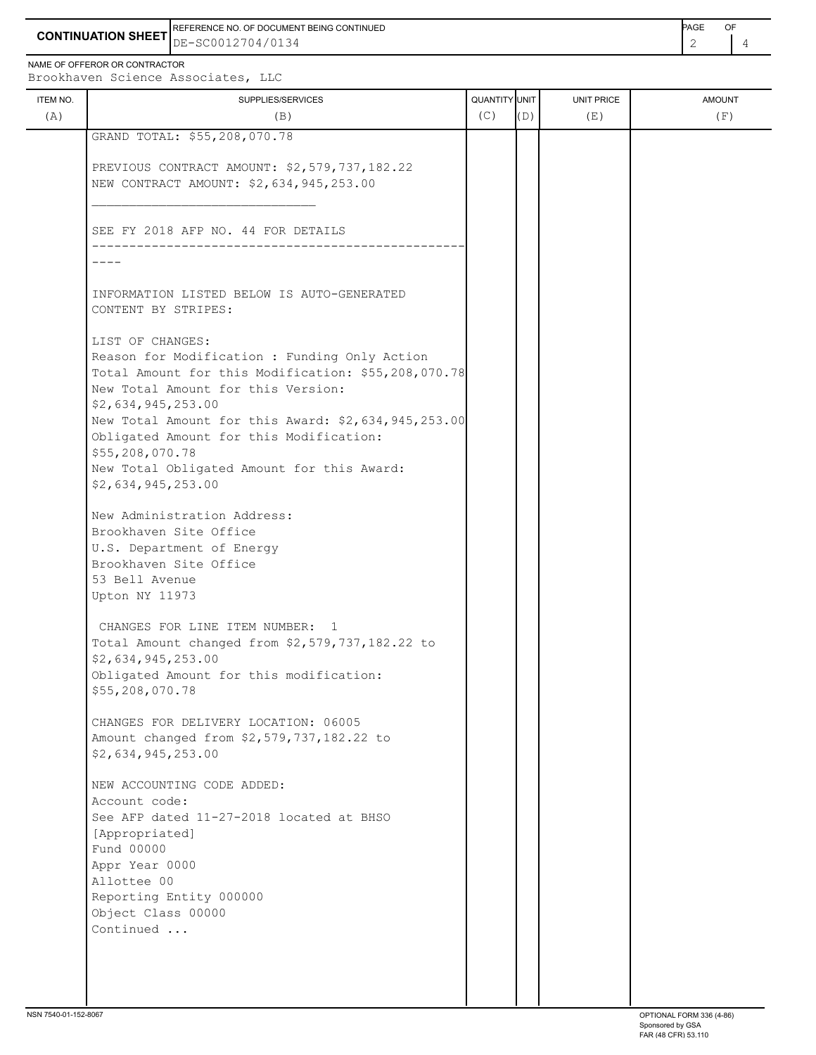**CONTINUATION SHEET** DE-SC0012704/0134 REFERENCE NO. OF DOCUMENT BEING CONTINUED **EXAMPLE 2008** PAGE OF

NAME OF OFFEROR OR CONTRACTOR

Brookhaven Science Associates, LLC

| ITEM NO.<br>(A) | SUPPLIES/SERVICES<br>(B)                                                                                                                                                              | QUANTITY UNIT<br>(C) | (D) | <b>UNIT PRICE</b><br>(E) | <b>AMOUNT</b><br>(F) |
|-----------------|---------------------------------------------------------------------------------------------------------------------------------------------------------------------------------------|----------------------|-----|--------------------------|----------------------|
|                 | GRAND TOTAL: \$55,208,070.78                                                                                                                                                          |                      |     |                          |                      |
|                 |                                                                                                                                                                                       |                      |     |                          |                      |
|                 | PREVIOUS CONTRACT AMOUNT: \$2,579,737,182.22<br>NEW CONTRACT AMOUNT: \$2,634,945,253.00                                                                                               |                      |     |                          |                      |
|                 | SEE FY 2018 AFP NO. 44 FOR DETAILS                                                                                                                                                    |                      |     |                          |                      |
|                 |                                                                                                                                                                                       |                      |     |                          |                      |
|                 | INFORMATION LISTED BELOW IS AUTO-GENERATED<br>CONTENT BY STRIPES:                                                                                                                     |                      |     |                          |                      |
|                 | LIST OF CHANGES:<br>Reason for Modification : Funding Only Action<br>Total Amount for this Modification: \$55,208,070.78<br>New Total Amount for this Version:                        |                      |     |                          |                      |
|                 | \$2,634,945,253.00<br>New Total Amount for this Award: \$2,634,945,253.00<br>Obligated Amount for this Modification:<br>\$55,208,070.78<br>New Total Obligated Amount for this Award: |                      |     |                          |                      |
|                 | \$2,634,945,253.00                                                                                                                                                                    |                      |     |                          |                      |
|                 | New Administration Address:<br>Brookhaven Site Office<br>U.S. Department of Energy<br>Brookhaven Site Office<br>53 Bell Avenue<br>Upton NY 11973                                      |                      |     |                          |                      |
|                 | CHANGES FOR LINE ITEM NUMBER: 1<br>Total Amount changed from \$2,579,737,182.22 to<br>\$2,634,945,253.00<br>Obligated Amount for this modification:<br>\$55,208,070.78                |                      |     |                          |                      |
|                 | CHANGES FOR DELIVERY LOCATION: 06005<br>Amount changed from \$2,579,737,182.22 to<br>\$2,634,945,253.00                                                                               |                      |     |                          |                      |
|                 | NEW ACCOUNTING CODE ADDED:<br>Account code:<br>See AFP dated 11-27-2018 located at BHSO<br>[Appropriated]<br>Fund 00000                                                               |                      |     |                          |                      |
|                 | Appr Year 0000<br>Allottee 00<br>Reporting Entity 000000                                                                                                                              |                      |     |                          |                      |
|                 | Object Class 00000<br>Continued                                                                                                                                                       |                      |     |                          |                      |
|                 |                                                                                                                                                                                       |                      |     |                          |                      |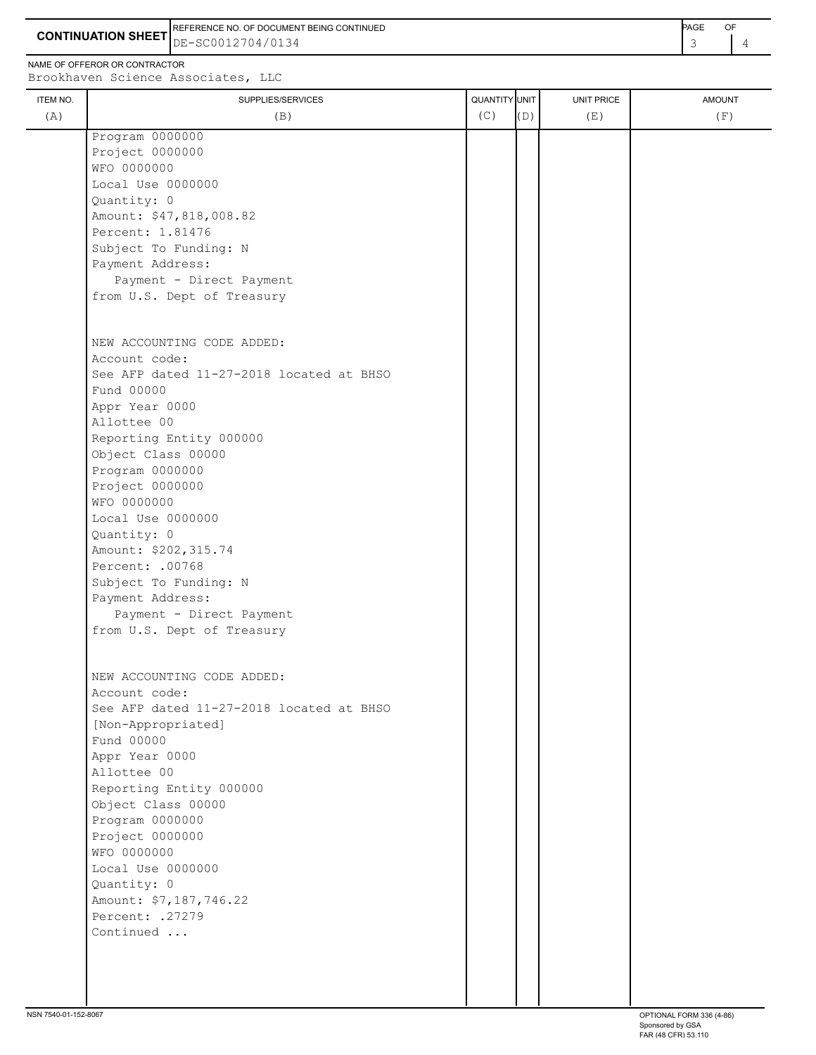**CONTINUATION SHEET** DE-SC0012704/0134 REFERENCE NO. OF DOCUMENT BEING CONTINUED **Example 2008** PAGE OF

NAME OF OFFEROR OR CONTRACTOR

ITEM NO. ┃ SUPPLIES/SERVICES UNIT PRICE AMOUNT Brookhaven Science Associates, LLC (A)  $(B)$  (B)  $(C)$   $(D)$  (E)  $(E)$  (F) Program 0000000 Project 0000000 WFO 0000000 Local Use 0000000 Quantity: 0 Amount: \$47,818,008.82 Percent: 1.81476 Subject To Funding: N Payment Address: Payment - Direct Payment from U.S. Dept of Treasury NEW ACCOUNTING CODE ADDED: Account code: See AFP dated 11-27-2018 located at BHSO Fund 00000 Appr Year 0000 Allottee 00 Reporting Entity 000000 Object Class 00000 Program 0000000 Project 0000000 WFO 0000000 Local Use 0000000 Quantity: 0 Amount: \$202,315.74 Percent: .00768 Subject To Funding: N Payment Address: Payment - Direct Payment from U.S. Dept of Treasury NEW ACCOUNTING CODE ADDED: Account code: See AFP dated 11-27-2018 located at BHSO [Non-Appropriated] Fund 00000 Appr Year 0000 Allottee 00 Reporting Entity 000000

 Object Class 00000 Program 0000000 Project 0000000 WFO 0000000

Local Use 0000000

 Percent: .27279 Continued ...

Amount: \$7,187,746.22

Quantity: 0